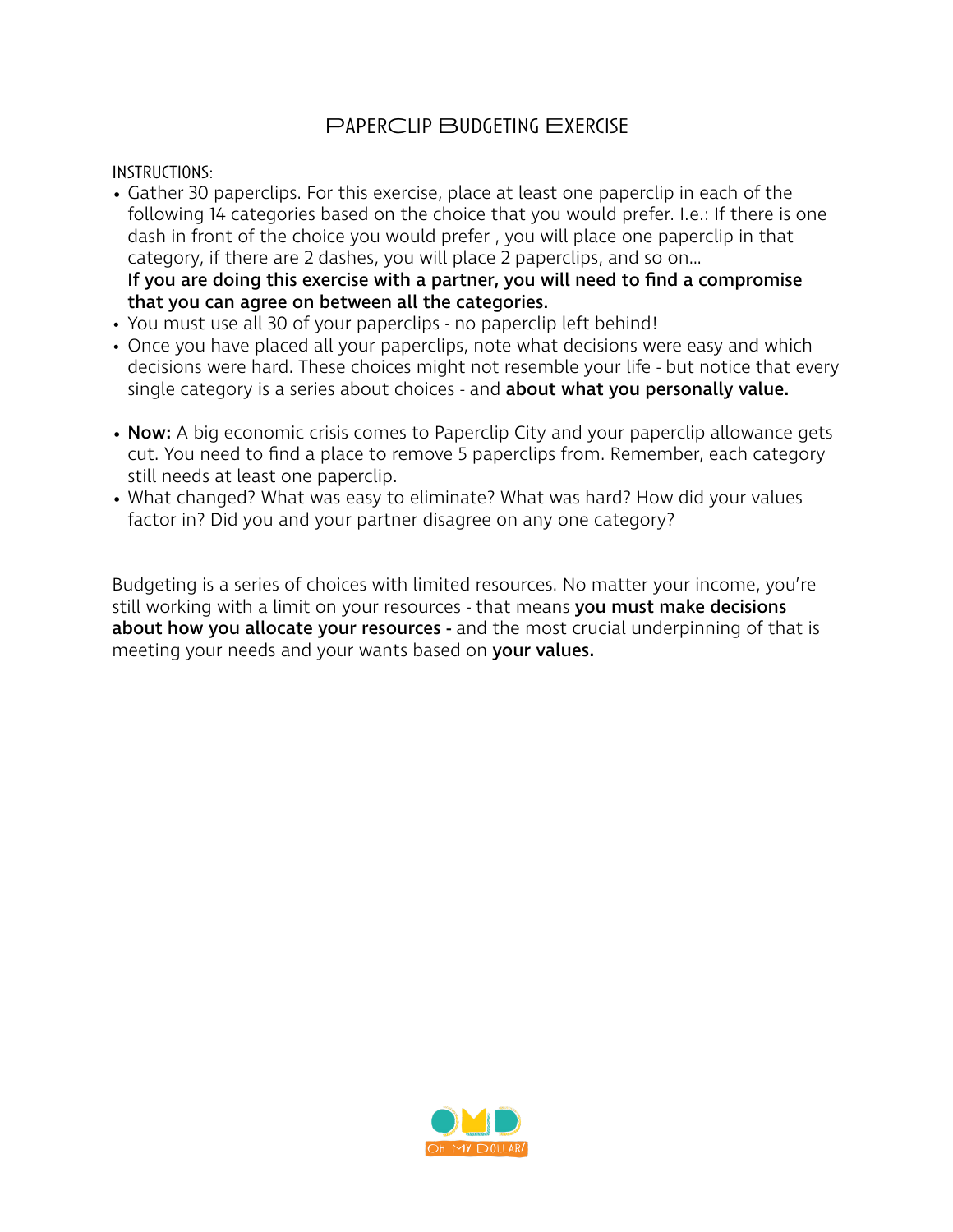# PaperClip Budgeting Exercise

Instructions:

- Gather 30 paperclips. For this exercise, place at least one paperclip in each of the following 14 categories based on the choice that you would prefer. I.e.: If there is one dash in front of the choice you would prefer , you will place one paperclip in that category, if there are 2 dashes, you will place 2 paperclips, and so on… If you are doing this exercise with a partner, you will need to find a compromise that you can agree on between all the categories.
- You must use all 30 of your paperclips no paperclip left behind!
- Once you have placed all your paperclips, note what decisions were easy and which decisions were hard. These choices might not resemble your life - but notice that every single category is a series about choices - and **about what you personally value.**
- **Now:** A big economic crisis comes to Paperclip City and your paperclip allowance gets cut. You need to find a place to remove 5 paperclips from. Remember, each category still needs at least one paperclip.
- What changed? What was easy to eliminate? What was hard? How did your values factor in? Did you and your partner disagree on any one category?

Budgeting is a series of choices with limited resources. No matter your income, you're still working with a limit on your resources - that means you must make decisions about how you allocate your resources - and the most crucial underpinning of that is meeting your needs and your wants based on your values.

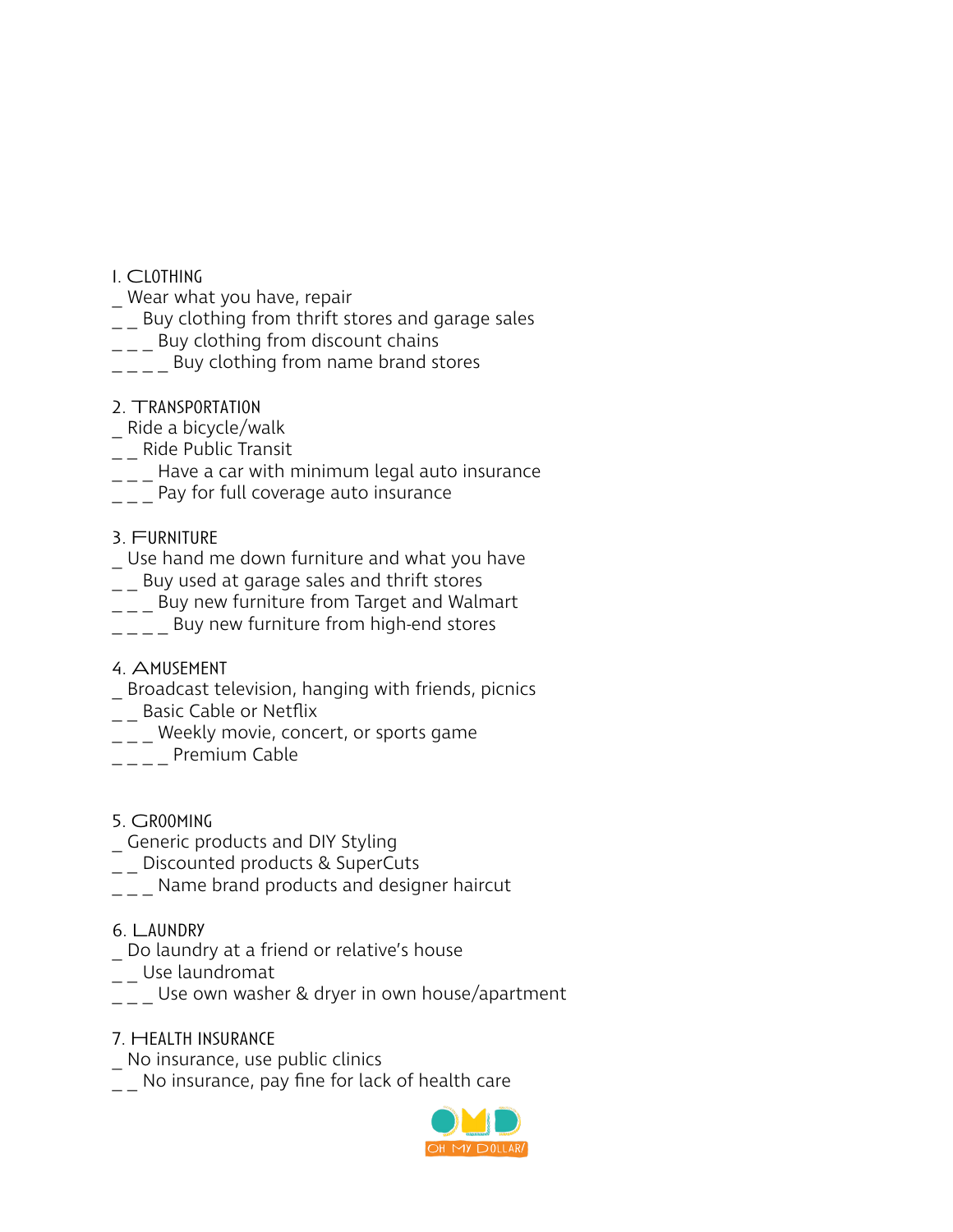- 1. Clothing
- \_ Wear what you have, repair
- $\mu$  Buy clothing from thrift stores and garage sales
- $\frac{1}{2}$  Buy clothing from discount chains
- $\frac{1}{2}$  \_  $\frac{1}{2}$  Buy clothing from name brand stores
- 2. Transportation
- \_ Ride a bicycle/walk
- \_\_ Ride Public Transit
- $\frac{1}{2}$  Have a car with minimum legal auto insurance
- $\frac{1}{1-z}$  Pay for full coverage auto insurance
- 3. Furniture
- \_ Use hand me down furniture and what you have
- $\mu_{\rm m}$  Buy used at garage sales and thrift stores
- $\frac{1}{2}$  Buy new furniture from Target and Walmart
- $\overline{\phantom{a}}$  \_  $\overline{\phantom{a}}$  Buy new furniture from high-end stores
- 4. Amusement
- \_ Broadcast television, hanging with friends, picnics
- \_\_ Basic Cable or Netflix
- $\frac{1}{2}$  Weekly movie, concert, or sports game
- $\left[\begin{array}{c} - \\ - \end{array}\right]$  Premium Cable
- 5. Grooming
- \_ Generic products and DIY Styling
- \_\_ Discounted products & SuperCuts
- Name brand products and designer haircut
- 6. Laundry
- Do laundry at a friend or relative's house
- \_\_ Use laundromat
- $\overline{\phantom{a}}$  Use own washer & dryer in own house/apartment
- 7. Health Insurance
- No insurance, use public clinics
- $\frac{1}{2}$  No insurance, pay fine for lack of health care

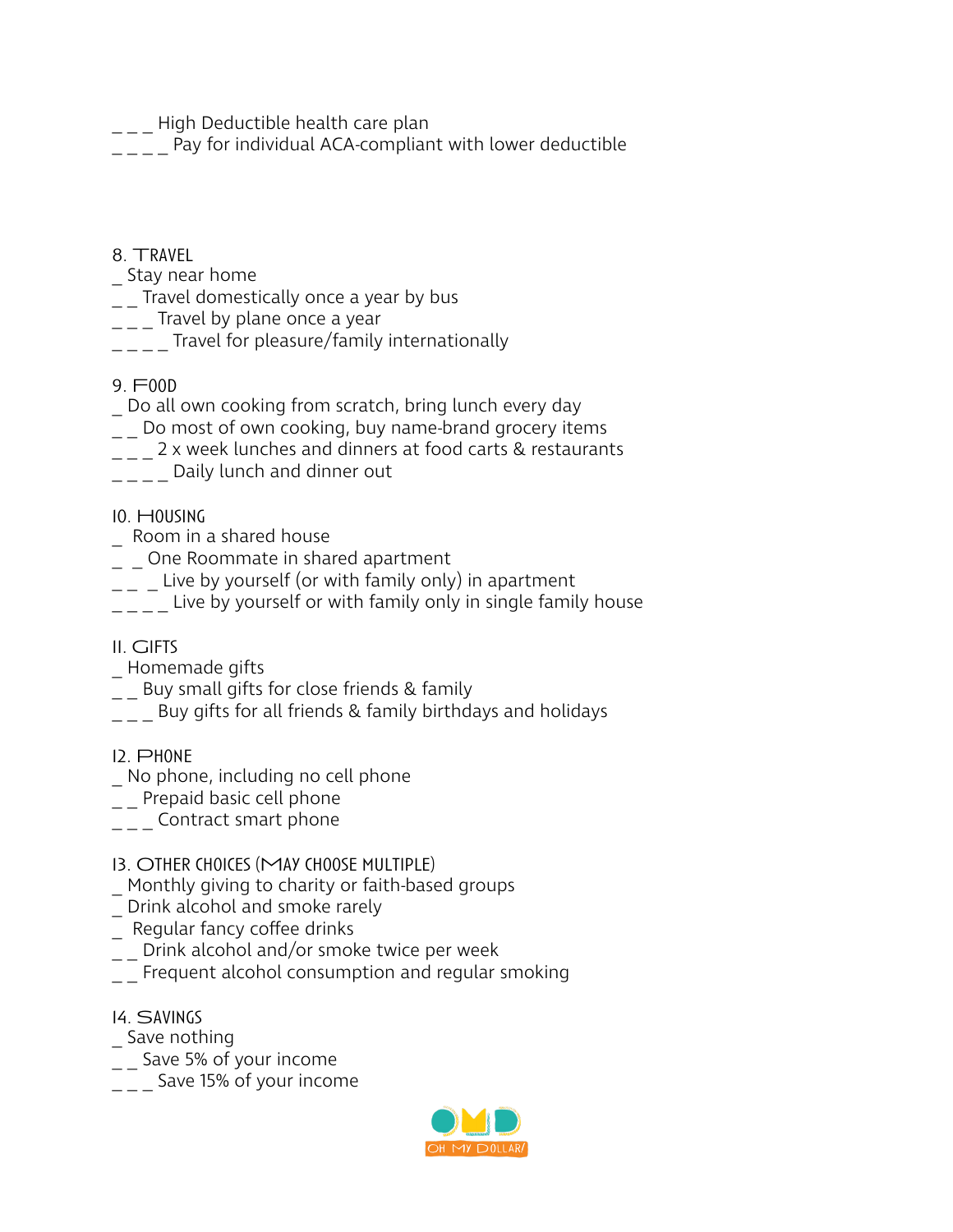\_\_\_ High Deductible health care plan

Pay for individual ACA-compliant with lower deductible

# 8. Travel

- \_ Stay near home
- $\frac{1}{2}$  Travel domestically once a year by bus
- $\frac{1}{1-z}$  Travel by plane once a year
- $\frac{1}{2}$  \_  $\frac{1}{2}$  Travel for pleasure/family internationally
- 9. Food
- Do all own cooking from scratch, bring lunch every day
- \_ \_ Do most of own cooking, buy name-brand grocery items
- $\mu_{\text{max}}$  2 x week lunches and dinners at food carts & restaurants
- \_\_\_\_ Daily lunch and dinner out

# 10. Housing

- \_ Room in a shared house
- \_ \_ One Roommate in shared apartment
- $\mu_{\text{max}} = 1$  Live by yourself (or with family only) in apartment
- $\frac{1}{1-z}$  Live by yourself or with family only in single family house

### 11. Gifts

- \_ Homemade gifts
- \_ \_ Buy small gifts for close friends & family
- $\left\lfloor -\right\rfloor$  Buy gifts for all friends & family birthdays and holidays
- 12. Phone
- \_ No phone, including no cell phone
- \_\_ Prepaid basic cell phone
- $\overline{\phantom{a}}$  \_ \_ \_ Contract smart phone

### 13. Other choices (May choose multiple)

- Monthly giving to charity or faith-based groups
- \_ Drink alcohol and smoke rarely
- \_ Regular fancy cofee drinks
- $\frac{1}{2}$  Drink alcohol and/or smoke twice per week
- $\overline{\phantom{a}}$  =  $\overline{\phantom{a}}$  Frequent alcohol consumption and regular smoking
- 14. Savings
- \_ Save nothing
- \_ \_ Save 5% of your income
- $\frac{1}{2}$  Save 15% of your income